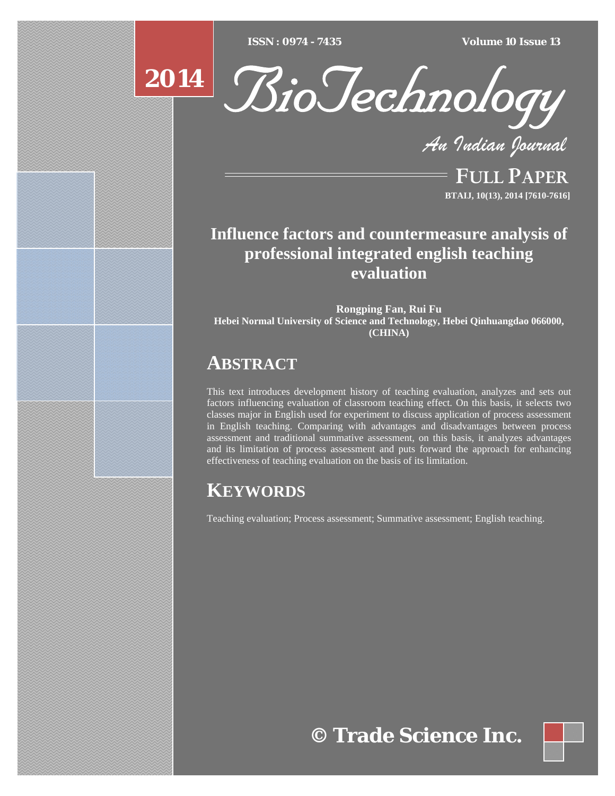$ISSN : 0974 - 7435$ 

*ISSN : 0974 - 7435 Volume 10 Issue 13*





*An Indian Journal*

FULL PAPER **BTAIJ, 10(13), 2014 [7610-7616]**

# **Influence factors and countermeasure analysis of professional integrated english teaching evaluation**

**Rongping Fan, Rui Fu Hebei Normal University of Science and Technology, Hebei Qinhuangdao 066000, (CHINA)**

# **ABSTRACT**

This text introduces development history of teaching evaluation, analyzes and sets out factors influencing evaluation of classroom teaching effect. On this basis, it selects two classes major in English used for experiment to discuss application of process assessment in English teaching. Comparing with advantages and disadvantages between process assessment and traditional summative assessment, on this basis, it analyzes advantages and its limitation of process assessment and puts forward the approach for enhancing effectiveness of teaching evaluation on the basis of its limitation.

# **KEYWORDS**

Teaching evaluation; Process assessment; Summative assessment; English teaching.

**© Trade Science Inc.**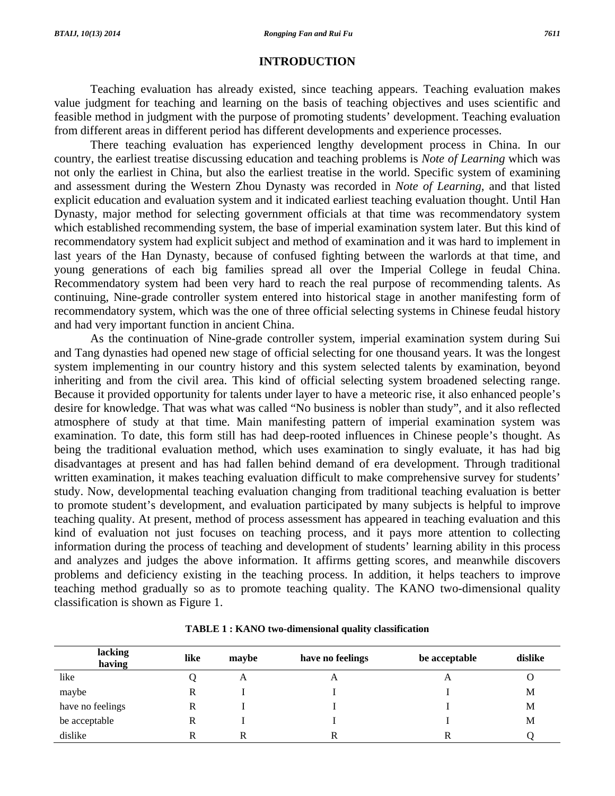### **INTRODUCTION**

 Teaching evaluation has already existed, since teaching appears. Teaching evaluation makes value judgment for teaching and learning on the basis of teaching objectives and uses scientific and feasible method in judgment with the purpose of promoting students' development. Teaching evaluation from different areas in different period has different developments and experience processes.

 There teaching evaluation has experienced lengthy development process in China. In our country, the earliest treatise discussing education and teaching problems is *Note of Learning* which was not only the earliest in China, but also the earliest treatise in the world. Specific system of examining and assessment during the Western Zhou Dynasty was recorded in *Note of Learning*, and that listed explicit education and evaluation system and it indicated earliest teaching evaluation thought. Until Han Dynasty, major method for selecting government officials at that time was recommendatory system which established recommending system, the base of imperial examination system later. But this kind of recommendatory system had explicit subject and method of examination and it was hard to implement in last years of the Han Dynasty, because of confused fighting between the warlords at that time, and young generations of each big families spread all over the Imperial College in feudal China. Recommendatory system had been very hard to reach the real purpose of recommending talents. As continuing, Nine-grade controller system entered into historical stage in another manifesting form of recommendatory system, which was the one of three official selecting systems in Chinese feudal history and had very important function in ancient China.

 As the continuation of Nine-grade controller system, imperial examination system during Sui and Tang dynasties had opened new stage of official selecting for one thousand years. It was the longest system implementing in our country history and this system selected talents by examination, beyond inheriting and from the civil area. This kind of official selecting system broadened selecting range. Because it provided opportunity for talents under layer to have a meteoric rise, it also enhanced people's desire for knowledge. That was what was called "No business is nobler than study", and it also reflected atmosphere of study at that time. Main manifesting pattern of imperial examination system was examination. To date, this form still has had deep-rooted influences in Chinese people's thought. As being the traditional evaluation method, which uses examination to singly evaluate, it has had big disadvantages at present and has had fallen behind demand of era development. Through traditional written examination, it makes teaching evaluation difficult to make comprehensive survey for students' study. Now, developmental teaching evaluation changing from traditional teaching evaluation is better to promote student's development, and evaluation participated by many subjects is helpful to improve teaching quality. At present, method of process assessment has appeared in teaching evaluation and this kind of evaluation not just focuses on teaching process, and it pays more attention to collecting information during the process of teaching and development of students' learning ability in this process and analyzes and judges the above information. It affirms getting scores, and meanwhile discovers problems and deficiency existing in the teaching process. In addition, it helps teachers to improve teaching method gradually so as to promote teaching quality. The KANO two-dimensional quality classification is shown as Figure 1.

| lacking<br>having | like | maybe | have no feelings | be acceptable | dislike |
|-------------------|------|-------|------------------|---------------|---------|
| like              |      | A     | A                |               |         |
| maybe             | R    |       |                  |               | M       |
| have no feelings  | R    |       |                  |               | M       |
| be acceptable     | R    |       |                  |               | M       |
| dislike           | R    |       |                  |               |         |

**TABLE 1 : KANO two-dimensional quality classification**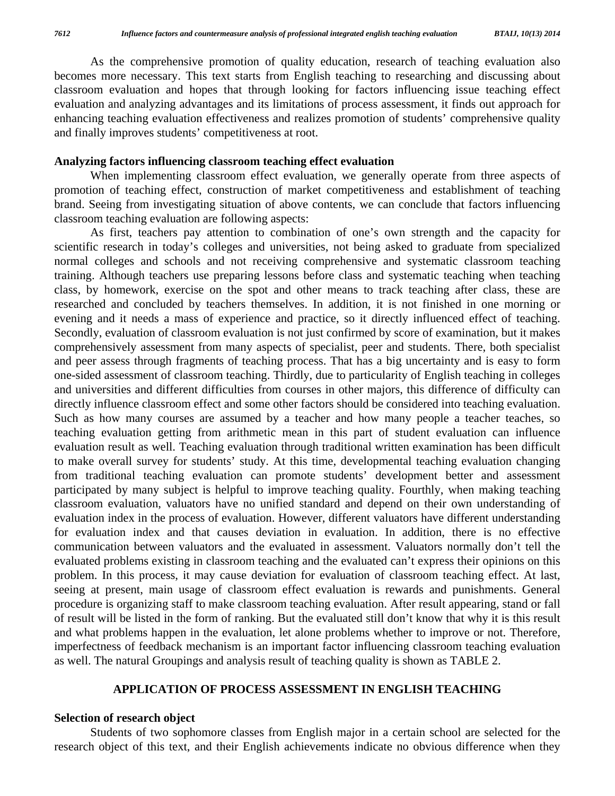As the comprehensive promotion of quality education, research of teaching evaluation also becomes more necessary. This text starts from English teaching to researching and discussing about classroom evaluation and hopes that through looking for factors influencing issue teaching effect evaluation and analyzing advantages and its limitations of process assessment, it finds out approach for enhancing teaching evaluation effectiveness and realizes promotion of students' comprehensive quality and finally improves students' competitiveness at root.

## **Analyzing factors influencing classroom teaching effect evaluation**

 When implementing classroom effect evaluation, we generally operate from three aspects of promotion of teaching effect, construction of market competitiveness and establishment of teaching brand. Seeing from investigating situation of above contents, we can conclude that factors influencing classroom teaching evaluation are following aspects:

 As first, teachers pay attention to combination of one's own strength and the capacity for scientific research in today's colleges and universities, not being asked to graduate from specialized normal colleges and schools and not receiving comprehensive and systematic classroom teaching training. Although teachers use preparing lessons before class and systematic teaching when teaching class, by homework, exercise on the spot and other means to track teaching after class, these are researched and concluded by teachers themselves. In addition, it is not finished in one morning or evening and it needs a mass of experience and practice, so it directly influenced effect of teaching. Secondly, evaluation of classroom evaluation is not just confirmed by score of examination, but it makes comprehensively assessment from many aspects of specialist, peer and students. There, both specialist and peer assess through fragments of teaching process. That has a big uncertainty and is easy to form one-sided assessment of classroom teaching. Thirdly, due to particularity of English teaching in colleges and universities and different difficulties from courses in other majors, this difference of difficulty can directly influence classroom effect and some other factors should be considered into teaching evaluation. Such as how many courses are assumed by a teacher and how many people a teacher teaches, so teaching evaluation getting from arithmetic mean in this part of student evaluation can influence evaluation result as well. Teaching evaluation through traditional written examination has been difficult to make overall survey for students' study. At this time, developmental teaching evaluation changing from traditional teaching evaluation can promote students' development better and assessment participated by many subject is helpful to improve teaching quality. Fourthly, when making teaching classroom evaluation, valuators have no unified standard and depend on their own understanding of evaluation index in the process of evaluation. However, different valuators have different understanding for evaluation index and that causes deviation in evaluation. In addition, there is no effective communication between valuators and the evaluated in assessment. Valuators normally don't tell the evaluated problems existing in classroom teaching and the evaluated can't express their opinions on this problem. In this process, it may cause deviation for evaluation of classroom teaching effect. At last, seeing at present, main usage of classroom effect evaluation is rewards and punishments. General procedure is organizing staff to make classroom teaching evaluation. After result appearing, stand or fall of result will be listed in the form of ranking. But the evaluated still don't know that why it is this result and what problems happen in the evaluation, let alone problems whether to improve or not. Therefore, imperfectness of feedback mechanism is an important factor influencing classroom teaching evaluation as well. The natural Groupings and analysis result of teaching quality is shown as TABLE 2.

## **APPLICATION OF PROCESS ASSESSMENT IN ENGLISH TEACHING**

## **Selection of research object**

 Students of two sophomore classes from English major in a certain school are selected for the research object of this text, and their English achievements indicate no obvious difference when they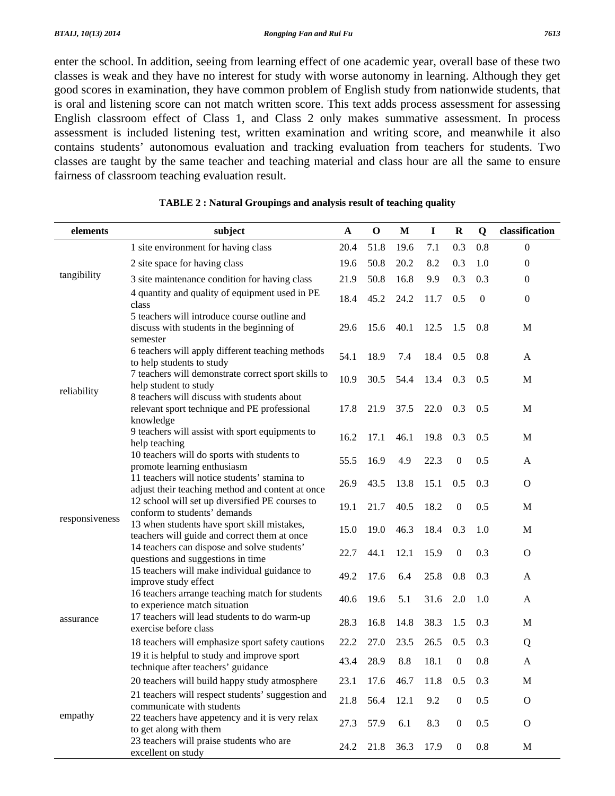enter the school. In addition, seeing from learning effect of one academic year, overall base of these two classes is weak and they have no interest for study with worse autonomy in learning. Although they get good scores in examination, they have common problem of English study from nationwide students, that is oral and listening score can not match written score. This text adds process assessment for assessing English classroom effect of Class 1, and Class 2 only makes summative assessment. In process assessment is included listening test, written examination and writing score, and meanwhile it also contains students' autonomous evaluation and tracking evaluation from teachers for students. Two classes are taught by the same teacher and teaching material and class hour are all the same to ensure fairness of classroom teaching evaluation result.

| elements       | subject                                                                                                  | $\mathbf A$ | $\mathbf 0$ | M    | $\mathbf I$ | $\mathbf R$      | $\mathbf Q$  | classification   |
|----------------|----------------------------------------------------------------------------------------------------------|-------------|-------------|------|-------------|------------------|--------------|------------------|
|                | 1 site environment for having class                                                                      | 20.4        | 51.8        | 19.6 | 7.1         | 0.3              | 0.8          | $\Omega$         |
|                | 2 site space for having class                                                                            | 19.6        | 50.8        | 20.2 | 8.2         | 0.3              | 1.0          | $\boldsymbol{0}$ |
| tangibility    | 3 site maintenance condition for having class                                                            | 21.9        | 50.8        | 16.8 | 9.9         | 0.3              | 0.3          | $\boldsymbol{0}$ |
|                | 4 quantity and quality of equipment used in PE<br>class                                                  | 18.4        | 45.2        | 24.2 | 11.7        | 0.5              | $\mathbf{0}$ | $\boldsymbol{0}$ |
| reliability    | 5 teachers will introduce course outline and<br>discuss with students in the beginning of<br>semester    | 29.6        | 15.6        | 40.1 | 12.5        | 1.5              | 0.8          | M                |
|                | 6 teachers will apply different teaching methods<br>to help students to study                            | 54.1        | 18.9        | 7.4  | 18.4        | 0.5              | 0.8          | A                |
|                | 7 teachers will demonstrate correct sport skills to<br>help student to study                             | 10.9        | 30.5        | 54.4 | 13.4        | 0.3              | 0.5          | $\mathbf M$      |
|                | 8 teachers will discuss with students about<br>relevant sport technique and PE professional<br>knowledge | 17.8        | 21.9        | 37.5 | 22.0        | 0.3              | 0.5          | M                |
|                | 9 teachers will assist with sport equipments to<br>help teaching                                         | 16.2        | 17.1        | 46.1 | 19.8        | 0.3              | 0.5          | M                |
|                | 10 teachers will do sports with students to<br>promote learning enthusiasm                               | 55.5        | 16.9        | 4.9  | 22.3        | $\boldsymbol{0}$ | 0.5          | A                |
| responsiveness | 11 teachers will notice students' stamina to<br>adjust their teaching method and content at once         | 26.9        | 43.5        | 13.8 | 15.1        | 0.5              | 0.3          | $\mathbf{O}$     |
|                | 12 school will set up diversified PE courses to<br>conform to students' demands                          | 19.1        | 21.7        | 40.5 | 18.2        | $\boldsymbol{0}$ | 0.5          | M                |
|                | 13 when students have sport skill mistakes,<br>teachers will guide and correct them at once              | 15.0        | 19.0        | 46.3 | 18.4        | 0.3              | 1.0          | M                |
|                | 14 teachers can dispose and solve students'<br>questions and suggestions in time                         | 22.7        | 44.1        | 12.1 | 15.9        | $\boldsymbol{0}$ | 0.3          | $\mathbf{O}$     |
| assurance      | 15 teachers will make individual guidance to<br>improve study effect                                     | 49.2        | 17.6        | 6.4  | 25.8        | 0.8              | 0.3          | A                |
|                | 16 teachers arrange teaching match for students<br>to experience match situation                         | 40.6        | 19.6        | 5.1  | 31.6        | 2.0              | 1.0          | A                |
|                | 17 teachers will lead students to do warm-up<br>exercise before class                                    | 28.3        | 16.8        | 14.8 | 38.3        | 1.5              | 0.3          | M                |
|                | 18 teachers will emphasize sport safety cautions                                                         | 22.2        | 27.0        | 23.5 | 26.5        | 0.5              | 0.3          | Q                |
|                | 19 it is helpful to study and improve sport<br>technique after teachers' guidance                        | 43.4        | 28.9        | 8.8  | 18.1        | 0                | 0.8          | A                |
| empathy        | 20 teachers will build happy study atmosphere                                                            | 23.1        | 17.6        | 46.7 | 11.8        | 0.5              | 0.3          | $\mathbf M$      |
|                | 21 teachers will respect students' suggestion and<br>communicate with students                           | 21.8        | 56.4        | 12.1 | 9.2         | $\boldsymbol{0}$ | 0.5          | $\mathbf{O}$     |
|                | 22 teachers have appetency and it is very relax<br>to get along with them                                | 27.3        | 57.9        | 6.1  | 8.3         | $\boldsymbol{0}$ | 0.5          | $\mathbf{O}$     |
|                | 23 teachers will praise students who are<br>excellent on study                                           | 24.2        | 21.8        | 36.3 | 17.9        | $\boldsymbol{0}$ | $0.8\,$      | M                |

#### **TABLE 2 : Natural Groupings and analysis result of teaching quality**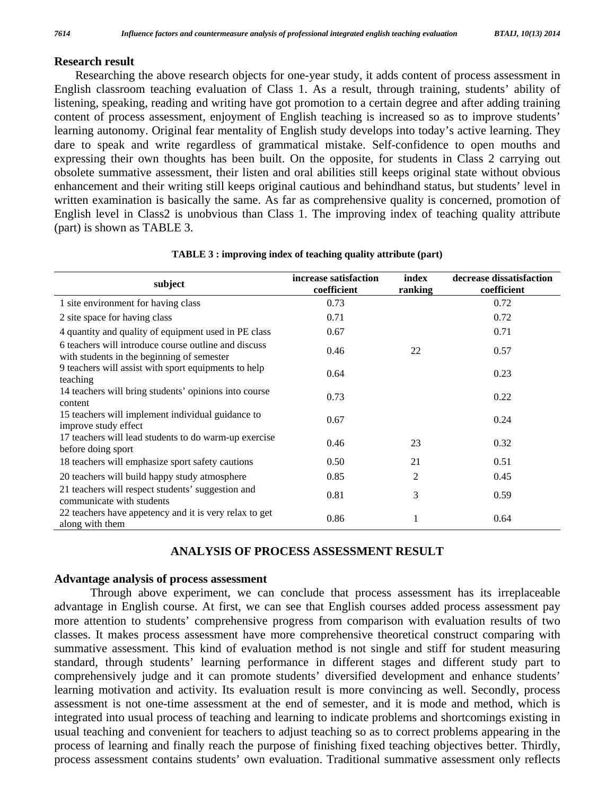# **Research result**

Researching the above research objects for one-year study, it adds content of process assessment in English classroom teaching evaluation of Class 1. As a result, through training, students' ability of listening, speaking, reading and writing have got promotion to a certain degree and after adding training content of process assessment, enjoyment of English teaching is increased so as to improve students' learning autonomy. Original fear mentality of English study develops into today's active learning. They dare to speak and write regardless of grammatical mistake. Self-confidence to open mouths and expressing their own thoughts has been built. On the opposite, for students in Class 2 carrying out obsolete summative assessment, their listen and oral abilities still keeps original state without obvious enhancement and their writing still keeps original cautious and behindhand status, but students' level in written examination is basically the same. As far as comprehensive quality is concerned, promotion of English level in Class2 is unobvious than Class 1. The improving index of teaching quality attribute (part) is shown as TABLE 3.

| subject                                                                                            | increase satisfaction<br>coefficient | index<br>ranking | decrease dissatisfaction<br>coefficient |
|----------------------------------------------------------------------------------------------------|--------------------------------------|------------------|-----------------------------------------|
| 1 site environment for having class                                                                | 0.73                                 |                  | 0.72                                    |
| 2 site space for having class                                                                      | 0.71                                 |                  | 0.72                                    |
| 4 quantity and quality of equipment used in PE class                                               | 0.67                                 |                  | 0.71                                    |
| 6 teachers will introduce course outline and discuss<br>with students in the beginning of semester | 0.46                                 | 22               | 0.57                                    |
| 9 teachers will assist with sport equipments to help<br>teaching                                   | 0.64                                 |                  | 0.23                                    |
| 14 teachers will bring students' opinions into course<br>content                                   | 0.73                                 |                  | 0.22                                    |
| 15 teachers will implement individual guidance to<br>improve study effect                          | 0.67                                 |                  | 0.24                                    |
| 17 teachers will lead students to do warm-up exercise<br>before doing sport                        | 0.46                                 | 23               | 0.32                                    |
| 18 teachers will emphasize sport safety cautions                                                   | 0.50                                 | 21               | 0.51                                    |
| 20 teachers will build happy study atmosphere                                                      | 0.85                                 | 2                | 0.45                                    |
| 21 teachers will respect students' suggestion and<br>communicate with students                     | 0.81                                 | 3                | 0.59                                    |
| 22 teachers have appetency and it is very relax to get<br>along with them                          | 0.86                                 | 1                | 0.64                                    |

### **TABLE 3 : improving index of teaching quality attribute (part)**

## **ANALYSIS OF PROCESS ASSESSMENT RESULT**

## **Advantage analysis of process assessment**

 Through above experiment, we can conclude that process assessment has its irreplaceable advantage in English course. At first, we can see that English courses added process assessment pay more attention to students' comprehensive progress from comparison with evaluation results of two classes. It makes process assessment have more comprehensive theoretical construct comparing with summative assessment. This kind of evaluation method is not single and stiff for student measuring standard, through students' learning performance in different stages and different study part to comprehensively judge and it can promote students' diversified development and enhance students' learning motivation and activity. Its evaluation result is more convincing as well. Secondly, process assessment is not one-time assessment at the end of semester, and it is mode and method, which is integrated into usual process of teaching and learning to indicate problems and shortcomings existing in usual teaching and convenient for teachers to adjust teaching so as to correct problems appearing in the process of learning and finally reach the purpose of finishing fixed teaching objectives better. Thirdly, process assessment contains students' own evaluation. Traditional summative assessment only reflects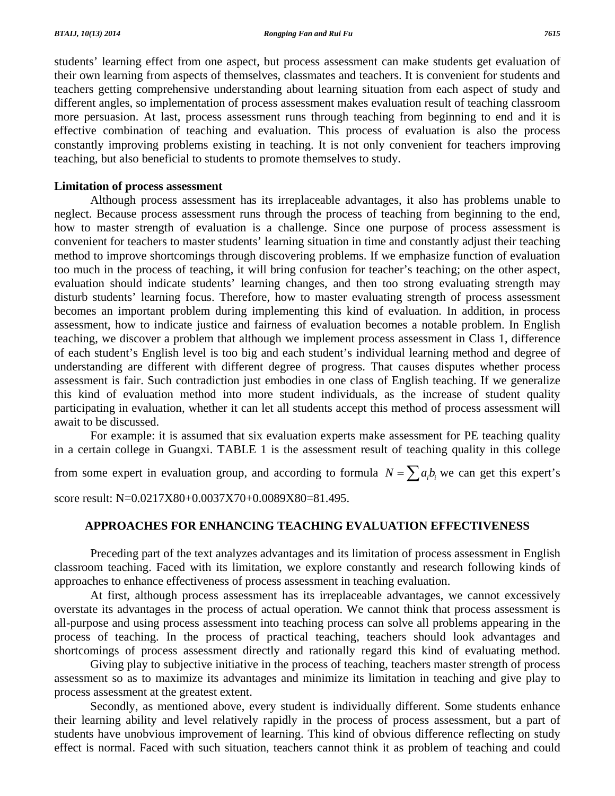students' learning effect from one aspect, but process assessment can make students get evaluation of their own learning from aspects of themselves, classmates and teachers. It is convenient for students and teachers getting comprehensive understanding about learning situation from each aspect of study and different angles, so implementation of process assessment makes evaluation result of teaching classroom more persuasion. At last, process assessment runs through teaching from beginning to end and it is effective combination of teaching and evaluation. This process of evaluation is also the process constantly improving problems existing in teaching. It is not only convenient for teachers improving teaching, but also beneficial to students to promote themselves to study.

## **Limitation of process assessment**

 Although process assessment has its irreplaceable advantages, it also has problems unable to neglect. Because process assessment runs through the process of teaching from beginning to the end, how to master strength of evaluation is a challenge. Since one purpose of process assessment is convenient for teachers to master students' learning situation in time and constantly adjust their teaching method to improve shortcomings through discovering problems. If we emphasize function of evaluation too much in the process of teaching, it will bring confusion for teacher's teaching; on the other aspect, evaluation should indicate students' learning changes, and then too strong evaluating strength may disturb students' learning focus. Therefore, how to master evaluating strength of process assessment becomes an important problem during implementing this kind of evaluation. In addition, in process assessment, how to indicate justice and fairness of evaluation becomes a notable problem. In English teaching, we discover a problem that although we implement process assessment in Class 1, difference of each student's English level is too big and each student's individual learning method and degree of understanding are different with different degree of progress. That causes disputes whether process assessment is fair. Such contradiction just embodies in one class of English teaching. If we generalize this kind of evaluation method into more student individuals, as the increase of student quality participating in evaluation, whether it can let all students accept this method of process assessment will await to be discussed.

 For example: it is assumed that six evaluation experts make assessment for PE teaching quality in a certain college in Guangxi. TABLE 1 is the assessment result of teaching quality in this college

from some expert in evaluation group, and according to formula  $N = \sum a_i b_i$  we can get this expert's

score result: N=0.0217X80+0.0037X70+0.0089X80=81.495.

## **APPROACHES FOR ENHANCING TEACHING EVALUATION EFFECTIVENESS**

 Preceding part of the text analyzes advantages and its limitation of process assessment in English classroom teaching. Faced with its limitation, we explore constantly and research following kinds of approaches to enhance effectiveness of process assessment in teaching evaluation.

 At first, although process assessment has its irreplaceable advantages, we cannot excessively overstate its advantages in the process of actual operation. We cannot think that process assessment is all-purpose and using process assessment into teaching process can solve all problems appearing in the process of teaching. In the process of practical teaching, teachers should look advantages and shortcomings of process assessment directly and rationally regard this kind of evaluating method.

 Giving play to subjective initiative in the process of teaching, teachers master strength of process assessment so as to maximize its advantages and minimize its limitation in teaching and give play to process assessment at the greatest extent.

 Secondly, as mentioned above, every student is individually different. Some students enhance their learning ability and level relatively rapidly in the process of process assessment, but a part of students have unobvious improvement of learning. This kind of obvious difference reflecting on study effect is normal. Faced with such situation, teachers cannot think it as problem of teaching and could